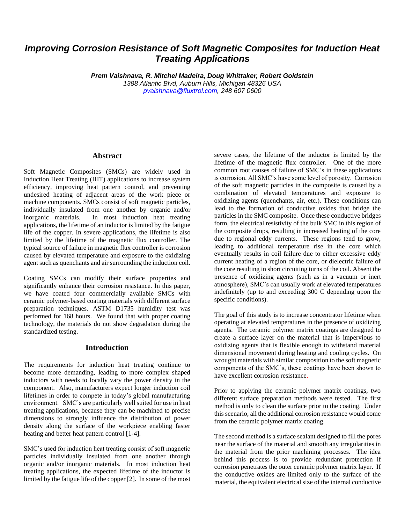# *Improving Corrosion Resistance of Soft Magnetic Composites for Induction Heat Treating Applications*

*Prem Vaishnava, R. Mitchel Madeira, Doug Whittaker, Robert Goldstein 1388 Atlantic Blvd, Auburn Hills, Michigan 48326 USA [pvaishnava@fluxtrol.com,](mailto:pvaishnava@fluxtrol.com) 248 607 0600*

#### **Abstract**

Soft Magnetic Composites (SMCs) are widely used in Induction Heat Treating (IHT) applications to increase system efficiency, improving heat pattern control, and preventing undesired heating of adjacent areas of the work piece or machine components. SMCs consist of soft magnetic particles, individually insulated from one another by organic and/or inorganic materials. In most induction heat treating applications, the lifetime of an inductor is limited by the fatigue life of the copper. In severe applications, the lifetime is also limited by the lifetime of the magnetic flux controller. The typical source of failure in magnetic flux controller is corrosion caused by elevated temperature and exposure to the oxidizing agent such as quenchants and air surrounding the induction coil.

Coating SMCs can modify their surface properties and significantly enhance their corrosion resistance. In this paper, we have coated four commercially available SMCs with ceramic polymer-based coating materials with different surface preparation techniques. ASTM D1735 humidity test was performed for 168 hours. We found that with proper coating technology, the materials do not show degradation during the standardized testing.

## **Introduction**

The requirements for induction heat treating continue to become more demanding, leading to more complex shaped inductors with needs to locally vary the power density in the component. Also, manufacturers expect longer induction coil lifetimes in order to compete in today's global manufacturing environment. SMC's are particularly well suited for use in heat treating applications, because they can be machined to precise dimensions to strongly influence the distribution of power density along the surface of the workpiece enabling faster heating and better heat pattern control [1-4].

SMC's used for induction heat treating consist of soft magnetic particles individually insulated from one another through organic and/or inorganic materials. In most induction heat treating applications, the expected lifetime of the inductor is limited by the fatigue life of the copper [2]. In some of the most

severe cases, the lifetime of the inductor is limited by the lifetime of the magnetic flux controller. One of the more common root causes of failure of SMC's in these applications is corrosion. All SMC's have some level of porosity. Corrosion of the soft magnetic particles in the composite is caused by a combination of elevated temperatures and exposure to oxidizing agents (quenchants, air, etc.). These conditions can lead to the formation of conductive oxides that bridge the particles in the SMC composite. Once these conductive bridges form, the electrical resistivity of the bulk SMC in this region of the composite drops, resulting in increased heating of the core due to regional eddy currents. These regions tend to grow, leading to additional temperature rise in the core which eventually results in coil failure due to either excessive eddy current heating of a region of the core, or dielectric failure of the core resulting in short circuiting turns of the coil. Absent the presence of oxidizing agents (such as in a vacuum or inert atmosphere), SMC's can usually work at elevated temperatures indefinitely (up to and exceeding 300 C depending upon the specific conditions).

The goal of this study is to increase concentrator lifetime when operating at elevated temperatures in the presence of oxidizing agents. The ceramic polymer matrix coatings are designed to create a surface layer on the material that is impervious to oxidizing agents that is flexible enough to withstand material dimensional movement during heating and cooling cycles. On wrought materials with similar composition to the soft magnetic components of the SMC's, these coatings have been shown to have excellent corrosion resistance.

Prior to applying the ceramic polymer matrix coatings, two different surface preparation methods were tested. The first method is only to clean the surface prior to the coating. Under this scenario, all the additional corrosion resistance would come from the ceramic polymer matrix coating.

The second method is a surface sealant designed to fill the pores near the surface of the material and smooth any irregularities in the material from the prior machining processes. The idea behind this process is to provide redundant protection if corrosion penetrates the outer ceramic polymer matrix layer. If the conductive oxides are limited only to the surface of the material, the equivalent electrical size of the internal conductive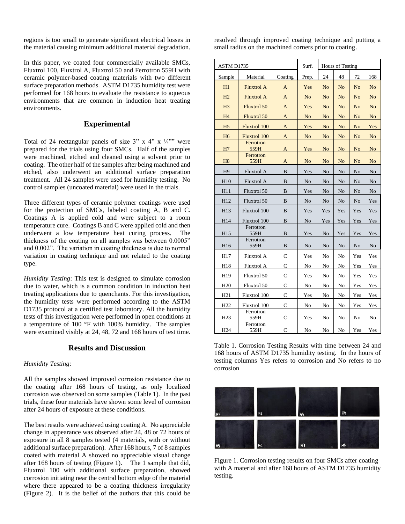regions is too small to generate significant electrical losses in the material causing minimum additional material degradation.

In this paper, we coated four commercially available SMCs, Fluxtrol 100, Fluxtrol A, Fluxtrol 50 and Ferrotron 559H with ceramic polymer-based coating materials with two different surface preparation methods. ASTM D1735 humidity test were performed for 168 hours to evaluate the resistance to aqueous environments that are common in induction heat treating environments.

## **Experimental**

Total of 24 rectangular panels of size  $3''$  x  $4''$  x  $\frac{1}{4}$ "" were prepared for the trials using four SMCs. Half of the samples were machined, etched and cleaned using a solvent prior to coating. The other half of the samples after being machined and etched, also underwent an additional surface preparation treatment. All 24 samples were used for humidity testing. No control samples (uncoated material) were used in the trials.

Three different types of ceramic polymer coatings were used for the protection of SMCs, labeled coating A, B and C. Coatings A is applied cold and were subject to a room temperature cure. Coatings B and C were applied cold and then underwent a low temperature heat curing process. The thickness of the coating on all samples was between 0.0005" and 0.002". The variation in coating thickness is due to normal variation in coating technique and not related to the coating type.

*Humidity Testing*: This test is designed to simulate corrosion due to water, which is a common condition in induction heat treating applications due to quenchants. For this investigation, the humidity tests were performed according to the ASTM D1735 protocol at a certified test laboratory. All the humidity tests of this investigation were performed in open conditions at a temperature of 100 °F with 100% humidity. The samples were examined visibly at 24, 48, 72 and 168 hours of test time.

## **Results and Discussion**

#### *Humidity Testing:*

All the samples showed improved corrosion resistance due to the coating after 168 hours of testing, as only localized corrosion was observed on some samples (Table 1). In the past trials, these four materials have shown some level of corrosion after 24 hours of exposure at these conditions.

The best results were achieved using coating A. No appreciable change in appearance was observed after 24, 48 or 72 hours of exposure in all 8 samples tested (4 materials, with or without additional surface preparation). After 168 hours, 7 of 8 samples coated with material A showed no appreciable visual change after 168 hours of testing (Figure 1). The 1 sample that did, Fluxtrol 100 with additional surface preparation, showed corrosion initiating near the central bottom edge of the material where there appeared to be a coating thickness irregularity (Figure 2). It is the belief of the authors that this could be resolved through improved coating technique and putting a small radius on the machined corners prior to coating.

| ASTM D1735      |                     |                | Surf.          | Hours of Testing |                |                |                |
|-----------------|---------------------|----------------|----------------|------------------|----------------|----------------|----------------|
| Sample          | Material            | Coating        | Prep.          | 24               | 48             | 72             | 168            |
| H1              | <b>Fluxtrol A</b>   | A              | Yes            | N <sub>o</sub>   | No             | No             | N <sub>o</sub> |
| H2              | <b>Fluxtrol A</b>   | A              | N <sub>o</sub> | No               | No             | No             | N <sub>o</sub> |
| H <sub>3</sub>  | <b>Fluxtrol 50</b>  | A              | Yes            | N <sub>o</sub>   | No             | N <sub>o</sub> | N <sub>o</sub> |
| H <sub>4</sub>  | <b>Fluxtrol 50</b>  | A              | N <sub>o</sub> | N <sub>o</sub>   | N <sub>o</sub> | N <sub>o</sub> | N <sub>o</sub> |
| H <sub>5</sub>  | <b>Fluxtrol 100</b> | A              | Yes            | No               | No             | No             | Yes            |
| H <sub>6</sub>  | <b>Fluxtrol 100</b> | A              | N <sub>o</sub> | N <sub>o</sub>   | No             | N <sub>o</sub> | N <sub>o</sub> |
| H7              | Ferrotron<br>559H   | A              | Yes            | No               | No             | No             | N <sub>o</sub> |
| H <sub>8</sub>  | Ferrotron<br>559H   | A              | N <sub>o</sub> | N <sub>o</sub>   | No             | No             | N <sub>o</sub> |
| H <sub>9</sub>  | <b>Fluxtrol A</b>   | B              | Yes            | No               | No             | No             | No             |
| H10             | Fluxtrol A          | B              | No             | No               | No             | No             | No             |
| H11             | Fluxtrol 50         | B              | Yes            | No               | No             | No             | No             |
| H12             | Fluxtrol 50         | B              | No             | No               | No             | No             | Yes            |
| H13             | Fluxtrol 100        | B              | Yes            | Yes              | Yes            | Yes            | Yes            |
| H14             | Fluxtrol 100        | B              | No.            | Yes              | Yes            | Yes            | Yes            |
| H <sub>15</sub> | Ferrotron<br>559H   | $\bf{B}$       | Yes            | No               | Yes            | Yes            | Yes            |
| H16             | Ferrotron<br>559H   | B              | N <sub>o</sub> | No               | No             | No             | No             |
| H17             | Fluxtrol A          | $\overline{C}$ | Yes            | No               | No             | Yes            | Yes            |
| H18             | Fluxtrol A          | $\mathbf C$    | No             | No               | No             | Yes            | Yes            |
| H <sub>19</sub> | Fluxtrol 50         | $\mathsf{C}$   | Yes            | No               | No             | Yes            | Yes            |
| H <sub>20</sub> | Fluxtrol 50         | $\mathbf C$    | No             | No               | No             | Yes            | Yes            |
| H21             | Fluxtrol 100        | $\mathcal{C}$  | Yes            | No               | No             | Yes            | Yes            |
| H <sub>22</sub> | Fluxtrol 100        | C              | No             | No               | No             | Yes            | Yes            |
| H <sub>23</sub> | Ferrotron<br>559H   | $\overline{C}$ | Yes            | No               | No             | No             | No             |
| H <sub>24</sub> | Ferrotron<br>559H   | $\mathsf{C}$   | No             | $\rm No$         | No             | Yes            | Yes            |

Table 1. Corrosion Testing Results with time between 24 and 168 hours of ASTM D1735 humidity testing. In the hours of testing columns Yes refers to corrosion and No refers to no corrosion



Figure 1. Corrosion testing results on four SMCs after coating with A material and after 168 hours of ASTM D1735 humidity testing.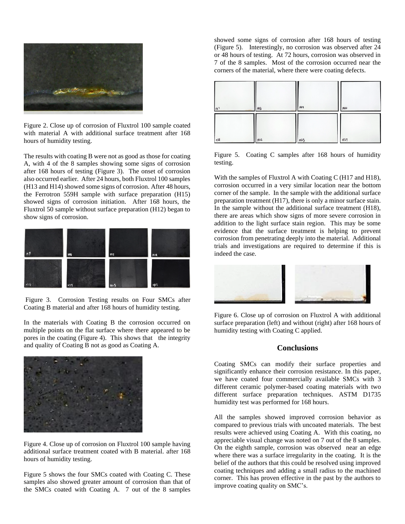

Figure 2. Close up of corrosion of Fluxtrol 100 sample coated with material A with additional surface treatment after 168 hours of humidity testing.

The results with coating B were not as good as those for coating A, with 4 of the 8 samples showing some signs of corrosion after 168 hours of testing (Figure 3). The onset of corrosion also occurred earlier. After 24 hours, both Fluxtrol 100 samples (H13 and H14) showed some signs of corrosion. After 48 hours, the Ferrotron 559H sample with surface preparation (H15) showed signs of corrosion initiation. After 168 hours, the Fluxtrol 50 sample without surface preparation (H12) began to show signs of corrosion.



Figure 3. Corrosion Testing results on Four SMCs after Coating B material and after 168 hours of humidity testing.

In the materials with Coating B the corrosion occurred on multiple points on the flat surface where there appeared to be pores in the coating (Figure 4). This shows that the integrity and quality of Coating B not as good as Coating A.



Figure 4. Close up of corrosion on Fluxtrol 100 sample having additional surface treatment coated with B material. after 168 hours of humidity testing.

Figure 5 shows the four SMCs coated with Coating C. These samples also showed greater amount of corrosion than that of the SMCs coated with Coating A. 7 out of the 8 samples

showed some signs of corrosion after 168 hours of testing (Figure 5). Interestingly, no corrosion was observed after 24 or 48 hours of testing. At 72 hours, corrosion was observed in 7 of the 8 samples. Most of the corrosion occurred near the corners of the material, where there were coating defects.



Figure 5. Coating C samples after 168 hours of humidity testing.

With the samples of Fluxtrol A with Coating C (H17 and H18), corrosion occurred in a very similar location near the bottom corner of the sample. In the sample with the additional surface preparation treatment (H17), there is only a minor surface stain. In the sample without the additional surface treatment (H18), there are areas which show signs of more severe corrosion in addition to the light surface stain region. This may be some evidence that the surface treatment is helping to prevent corrosion from penetrating deeply into the material. Additional trials and investigations are required to determine if this is indeed the case.



Figure 6. Close up of corrosion on Fluxtrol A with additional surface preparation (left) and without (right) after 168 hours of humidity testing with Coating C applied.

#### **Conclusions**

Coating SMCs can modify their surface properties and significantly enhance their corrosion resistance. In this paper, we have coated four commercially available SMCs with 3 different ceramic polymer-based coating materials with two different surface preparation techniques. ASTM D1735 humidity test was performed for 168 hours.

All the samples showed improved corrosion behavior as compared to previous trials with uncoated materials. The best results were achieved using Coating A. With this coating, no appreciable visual change was noted on 7 out of the 8 samples. On the eighth sample, corrosion was observed near an edge where there was a surface irregularity in the coating. It is the belief of the authors that this could be resolved using improved coating techniques and adding a small radius to the machined corner. This has proven effective in the past by the authors to improve coating quality on SMC's.